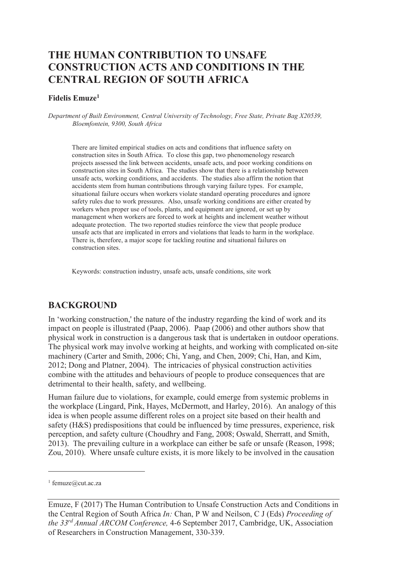# **THE HUMAN CONTRIBUTION TO UNSAFE CONSTRUCTION ACTS AND CONDITIONS IN THE CENTRAL REGION OF SOUTH AFRICA**

#### **Fidelis Emuze<sup>1</sup>**

*Department of Built Environment, Central University of Technology, Free State, Private Bag X20539, Bloemfontein, 9300, South Africa* 

There are limited empirical studies on acts and conditions that influence safety on construction sites in South Africa. To close this gap, two phenomenology research projects assessed the link between accidents, unsafe acts, and poor working conditions on construction sites in South Africa. The studies show that there is a relationship between unsafe acts, working conditions, and accidents. The studies also affirm the notion that accidents stem from human contributions through varying failure types. For example, situational failure occurs when workers violate standard operating procedures and ignore safety rules due to work pressures. Also, unsafe working conditions are either created by workers when proper use of tools, plants, and equipment are ignored, or set up by management when workers are forced to work at heights and inclement weather without adequate protection. The two reported studies reinforce the view that people produce unsafe acts that are implicated in errors and violations that leads to harm in the workplace. There is, therefore, a major scope for tackling routine and situational failures on construction sites.

Keywords: construction industry, unsafe acts, unsafe conditions, site work

### **BACKGROUND**

In 'working construction,' the nature of the industry regarding the kind of work and its impact on people is illustrated (Paap, 2006). Paap (2006) and other authors show that physical work in construction is a dangerous task that is undertaken in outdoor operations. The physical work may involve working at heights, and working with complicated on-site machinery (Carter and Smith, 2006; Chi, Yang, and Chen, 2009; Chi, Han, and Kim, 2012; Dong and Platner, 2004). The intricacies of physical construction activities combine with the attitudes and behaviours of people to produce consequences that are detrimental to their health, safety, and wellbeing.

Human failure due to violations, for example, could emerge from systemic problems in the workplace (Lingard, Pink, Hayes, McDermott, and Harley, 2016). An analogy of this idea is when people assume different roles on a project site based on their health and safety (H&S) predispositions that could be influenced by time pressures, experience, risk perception, and safety culture (Choudhry and Fang, 2008; Oswald, Sherratt, and Smith, 2013). The prevailing culture in a workplace can either be safe or unsafe (Reason, 1998; Zou, 2010). Where unsafe culture exists, it is more likely to be involved in the causation

-

<sup>&</sup>lt;sup>1</sup> femuze@cut.ac.za

Emuze, F (2017) The Human Contribution to Unsafe Construction Acts and Conditions in the Central Region of South Africa *In:* Chan, P W and Neilson, C J (Eds) *Proceeding of the 33rd Annual ARCOM Conference,* 4-6 September 2017, Cambridge, UK, Association of Researchers in Construction Management, 330-339.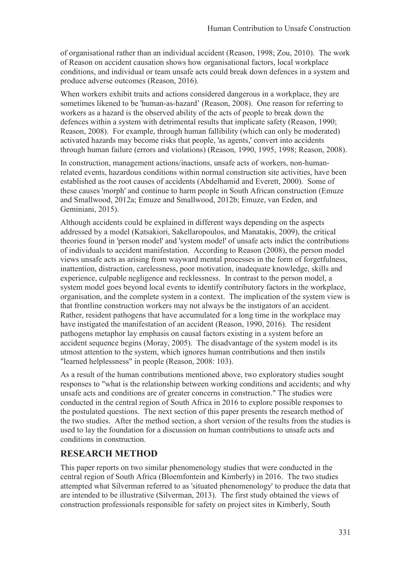of organisational rather than an individual accident (Reason, 1998; Zou, 2010). The work of Reason on accident causation shows how organisational factors, local workplace conditions, and individual or team unsafe acts could break down defences in a system and produce adverse outcomes (Reason, 2016).

When workers exhibit traits and actions considered dangerous in a workplace, they are sometimes likened to be 'human-as-hazard' (Reason, 2008). One reason for referring to workers as a hazard is the observed ability of the acts of people to break down the defences within a system with detrimental results that implicate safety (Reason, 1990; Reason, 2008). For example, through human fallibility (which can only be moderated) activated hazards may become risks that people, 'as agents,' convert into accidents through human failure (errors and violations) (Reason, 1990, 1995, 1998; Reason, 2008).

In construction, management actions/inactions, unsafe acts of workers, non-humanrelated events, hazardous conditions within normal construction site activities, have been established as the root causes of accidents (Abdelhamid and Everett, 2000). Some of these causes 'morph' and continue to harm people in South African construction (Emuze and Smallwood, 2012a; Emuze and Smallwood, 2012b; Emuze, van Eeden, and Geminiani, 2015).

Although accidents could be explained in different ways depending on the aspects addressed by a model (Katsakiori, Sakellaropoulos, and Manatakis, 2009), the critical theories found in 'person model' and 'system model' of unsafe acts indict the contributions of individuals to accident manifestation. According to Reason (2008), the person model views unsafe acts as arising from wayward mental processes in the form of forgetfulness, inattention, distraction, carelessness, poor motivation, inadequate knowledge, skills and experience, culpable negligence and recklessness. In contrast to the person model, a system model goes beyond local events to identify contributory factors in the workplace, organisation, and the complete system in a context. The implication of the system view is that frontline construction workers may not always be the instigators of an accident. Rather, resident pathogens that have accumulated for a long time in the workplace may have instigated the manifestation of an accident (Reason, 1990, 2016). The resident pathogens metaphor lay emphasis on causal factors existing in a system before an accident sequence begins (Moray, 2005). The disadvantage of the system model is its utmost attention to the system, which ignores human contributions and then instils "learned helplessness" in people (Reason, 2008: 103).

As a result of the human contributions mentioned above, two exploratory studies sought responses to "what is the relationship between working conditions and accidents; and why unsafe acts and conditions are of greater concerns in construction." The studies were conducted in the central region of South Africa in 2016 to explore possible responses to the postulated questions. The next section of this paper presents the research method of the two studies. After the method section, a short version of the results from the studies is used to lay the foundation for a discussion on human contributions to unsafe acts and conditions in construction.

### **RESEARCH METHOD**

This paper reports on two similar phenomenology studies that were conducted in the central region of South Africa (Bloemfontein and Kimberly) in 2016. The two studies attempted what Silverman referred to as 'situated phenomenology' to produce the data that are intended to be illustrative (Silverman, 2013). The first study obtained the views of construction professionals responsible for safety on project sites in Kimberly, South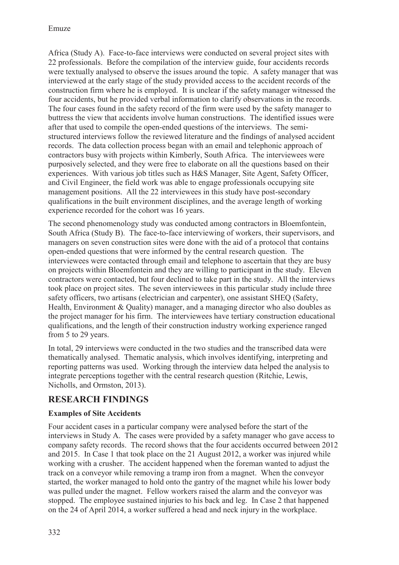Africa (Study A). Face-to-face interviews were conducted on several project sites with 22 professionals. Before the compilation of the interview guide, four accidents records were textually analysed to observe the issues around the topic. A safety manager that was interviewed at the early stage of the study provided access to the accident records of the construction firm where he is employed. It is unclear if the safety manager witnessed the four accidents, but he provided verbal information to clarify observations in the records. The four cases found in the safety record of the firm were used by the safety manager to buttress the view that accidents involve human constructions. The identified issues were after that used to compile the open-ended questions of the interviews. The semistructured interviews follow the reviewed literature and the findings of analysed accident records. The data collection process began with an email and telephonic approach of contractors busy with projects within Kimberly, South Africa. The interviewees were purposively selected, and they were free to elaborate on all the questions based on their experiences. With various job titles such as H&S Manager, Site Agent, Safety Officer, and Civil Engineer, the field work was able to engage professionals occupying site management positions. All the 22 interviewees in this study have post-secondary qualifications in the built environment disciplines, and the average length of working experience recorded for the cohort was 16 years.

The second phenomenology study was conducted among contractors in Bloemfontein, South Africa (Study B). The face-to-face interviewing of workers, their supervisors, and managers on seven construction sites were done with the aid of a protocol that contains open-ended questions that were informed by the central research question. The interviewees were contacted through email and telephone to ascertain that they are busy on projects within Bloemfontein and they are willing to participant in the study. Eleven contractors were contacted, but four declined to take part in the study. All the interviews took place on project sites. The seven interviewees in this particular study include three safety officers, two artisans (electrician and carpenter), one assistant SHEQ (Safety, Health, Environment & Quality) manager, and a managing director who also doubles as the project manager for his firm. The interviewees have tertiary construction educational qualifications, and the length of their construction industry working experience ranged from 5 to 29 years.

In total, 29 interviews were conducted in the two studies and the transcribed data were thematically analysed. Thematic analysis, which involves identifying, interpreting and reporting patterns was used. Working through the interview data helped the analysis to integrate perceptions together with the central research question (Ritchie, Lewis, Nicholls, and Ormston, 2013).

### **RESEARCH FINDINGS**

### **Examples of Site Accidents**

Four accident cases in a particular company were analysed before the start of the interviews in Study A. The cases were provided by a safety manager who gave access to company safety records. The record shows that the four accidents occurred between 2012 and 2015. In Case 1 that took place on the 21 August 2012, a worker was injured while working with a crusher. The accident happened when the foreman wanted to adjust the track on a conveyor while removing a tramp iron from a magnet. When the conveyor started, the worker managed to hold onto the gantry of the magnet while his lower body was pulled under the magnet. Fellow workers raised the alarm and the conveyor was stopped. The employee sustained injuries to his back and leg. In Case 2 that happened on the 24 of April 2014, a worker suffered a head and neck injury in the workplace.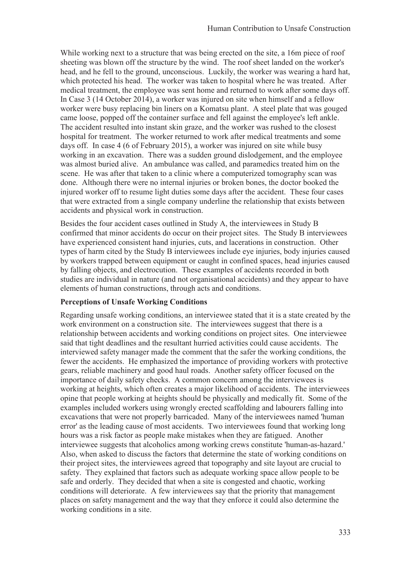While working next to a structure that was being erected on the site, a 16m piece of roof sheeting was blown off the structure by the wind. The roof sheet landed on the worker's head, and he fell to the ground, unconscious. Luckily, the worker was wearing a hard hat, which protected his head. The worker was taken to hospital where he was treated. After medical treatment, the employee was sent home and returned to work after some days off. In Case 3 (14 October 2014), a worker was injured on site when himself and a fellow worker were busy replacing bin liners on a Komatsu plant. A steel plate that was gouged came loose, popped off the container surface and fell against the employee's left ankle. The accident resulted into instant skin graze, and the worker was rushed to the closest hospital for treatment. The worker returned to work after medical treatments and some days off. In case 4 (6 of February 2015), a worker was injured on site while busy working in an excavation. There was a sudden ground dislodgement, and the employee was almost buried alive. An ambulance was called, and paramedics treated him on the scene. He was after that taken to a clinic where a computerized tomography scan was done. Although there were no internal injuries or broken bones, the doctor booked the injured worker off to resume light duties some days after the accident. These four cases that were extracted from a single company underline the relationship that exists between accidents and physical work in construction.

Besides the four accident cases outlined in Study A, the interviewees in Study B confirmed that minor accidents do occur on their project sites. The Study B interviewees have experienced consistent hand injuries, cuts, and lacerations in construction. Other types of harm cited by the Study B interviewees include eye injuries, body injuries caused by workers trapped between equipment or caught in confined spaces, head injuries caused by falling objects, and electrocution. These examples of accidents recorded in both studies are individual in nature (and not organisational accidents) and they appear to have elements of human constructions, through acts and conditions.

### **Perceptions of Unsafe Working Conditions**

Regarding unsafe working conditions, an interviewee stated that it is a state created by the work environment on a construction site. The interviewees suggest that there is a relationship between accidents and working conditions on project sites. One interviewee said that tight deadlines and the resultant hurried activities could cause accidents. The interviewed safety manager made the comment that the safer the working conditions, the fewer the accidents. He emphasized the importance of providing workers with protective gears, reliable machinery and good haul roads. Another safety officer focused on the importance of daily safety checks. A common concern among the interviewees is working at heights, which often creates a major likelihood of accidents. The interviewees opine that people working at heights should be physically and medically fit. Some of the examples included workers using wrongly erected scaffolding and labourers falling into excavations that were not properly barricaded. Many of the interviewees named 'human error' as the leading cause of most accidents. Two interviewees found that working long hours was a risk factor as people make mistakes when they are fatigued. Another interviewee suggests that alcoholics among working crews constitute 'human-as-hazard.' Also, when asked to discuss the factors that determine the state of working conditions on their project sites, the interviewees agreed that topography and site layout are crucial to safety. They explained that factors such as adequate working space allow people to be safe and orderly. They decided that when a site is congested and chaotic, working conditions will deteriorate. A few interviewees say that the priority that management places on safety management and the way that they enforce it could also determine the working conditions in a site.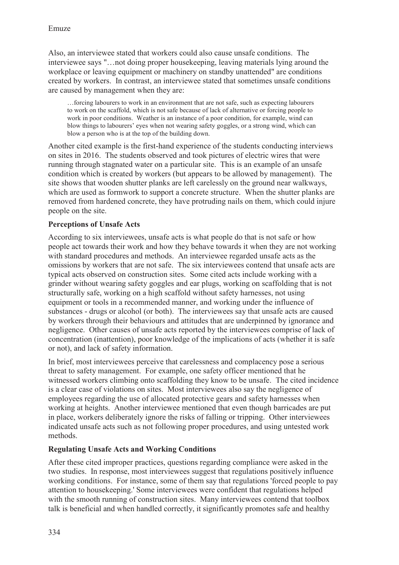Also, an interviewee stated that workers could also cause unsafe conditions. The interviewee says "…not doing proper housekeeping, leaving materials lying around the workplace or leaving equipment or machinery on standby unattended" are conditions created by workers. In contrast, an interviewee stated that sometimes unsafe conditions are caused by management when they are:

…forcing labourers to work in an environment that are not safe, such as expecting labourers to work on the scaffold, which is not safe because of lack of alternative or forcing people to work in poor conditions. Weather is an instance of a poor condition, for example, wind can blow things to labourers' eyes when not wearing safety goggles, or a strong wind, which can blow a person who is at the top of the building down.

Another cited example is the first-hand experience of the students conducting interviews on sites in 2016. The students observed and took pictures of electric wires that were running through stagnated water on a particular site. This is an example of an unsafe condition which is created by workers (but appears to be allowed by management). The site shows that wooden shutter planks are left carelessly on the ground near walkways, which are used as formwork to support a concrete structure. When the shutter planks are removed from hardened concrete, they have protruding nails on them, which could injure people on the site.

#### **Perceptions of Unsafe Acts**

According to six interviewees, unsafe acts is what people do that is not safe or how people act towards their work and how they behave towards it when they are not working with standard procedures and methods. An interviewee regarded unsafe acts as the omissions by workers that are not safe. The six interviewees contend that unsafe acts are typical acts observed on construction sites. Some cited acts include working with a grinder without wearing safety goggles and ear plugs, working on scaffolding that is not structurally safe, working on a high scaffold without safety harnesses, not using equipment or tools in a recommended manner, and working under the influence of substances - drugs or alcohol (or both). The interviewees say that unsafe acts are caused by workers through their behaviours and attitudes that are underpinned by ignorance and negligence. Other causes of unsafe acts reported by the interviewees comprise of lack of concentration (inattention), poor knowledge of the implications of acts (whether it is safe or not), and lack of safety information.

In brief, most interviewees perceive that carelessness and complacency pose a serious threat to safety management. For example, one safety officer mentioned that he witnessed workers climbing onto scaffolding they know to be unsafe. The cited incidence is a clear case of violations on sites. Most interviewees also say the negligence of employees regarding the use of allocated protective gears and safety harnesses when working at heights. Another interviewee mentioned that even though barricades are put in place, workers deliberately ignore the risks of falling or tripping. Other interviewees indicated unsafe acts such as not following proper procedures, and using untested work methods.

#### **Regulating Unsafe Acts and Working Conditions**

After these cited improper practices, questions regarding compliance were asked in the two studies. In response, most interviewees suggest that regulations positively influence working conditions. For instance, some of them say that regulations 'forced people to pay attention to housekeeping.' Some interviewees were confident that regulations helped with the smooth running of construction sites. Many interviewees contend that toolbox talk is beneficial and when handled correctly, it significantly promotes safe and healthy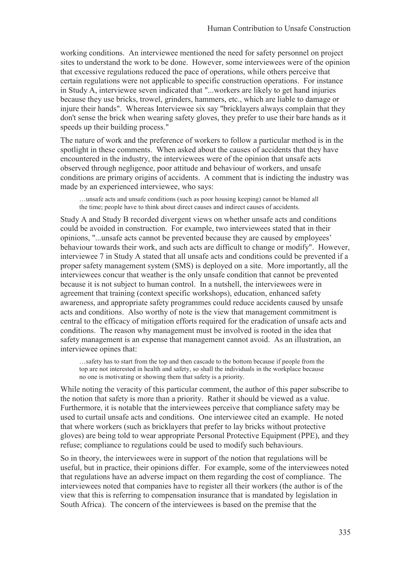working conditions. An interviewee mentioned the need for safety personnel on project sites to understand the work to be done. However, some interviewees were of the opinion that excessive regulations reduced the pace of operations, while others perceive that certain regulations were not applicable to specific construction operations. For instance in Study A, interviewee seven indicated that "...workers are likely to get hand injuries because they use bricks, trowel, grinders, hammers, etc., which are liable to damage or injure their hands". Whereas Interviewee six say "bricklayers always complain that they don't sense the brick when wearing safety gloves, they prefer to use their bare hands as it speeds up their building process."

The nature of work and the preference of workers to follow a particular method is in the spotlight in these comments. When asked about the causes of accidents that they have encountered in the industry, the interviewees were of the opinion that unsafe acts observed through negligence, poor attitude and behaviour of workers, and unsafe conditions are primary origins of accidents. A comment that is indicting the industry was made by an experienced interviewee, who says:

…unsafe acts and unsafe conditions (such as poor housing keeping) cannot be blamed all the time; people have to think about direct causes and indirect causes of accidents.

Study A and Study B recorded divergent views on whether unsafe acts and conditions could be avoided in construction. For example, two interviewees stated that in their opinions, "...unsafe acts cannot be prevented because they are caused by employees' behaviour towards their work, and such acts are difficult to change or modify". However, interviewee 7 in Study A stated that all unsafe acts and conditions could be prevented if a proper safety management system (SMS) is deployed on a site. More importantly, all the interviewees concur that weather is the only unsafe condition that cannot be prevented because it is not subject to human control. In a nutshell, the interviewees were in agreement that training (context specific workshops), education, enhanced safety awareness, and appropriate safety programmes could reduce accidents caused by unsafe acts and conditions. Also worthy of note is the view that management commitment is central to the efficacy of mitigation efforts required for the eradication of unsafe acts and conditions. The reason why management must be involved is rooted in the idea that safety management is an expense that management cannot avoid. As an illustration, an interviewee opines that:

…safety has to start from the top and then cascade to the bottom because if people from the top are not interested in health and safety, so shall the individuals in the workplace because no one is motivating or showing them that safety is a priority.

While noting the veracity of this particular comment, the author of this paper subscribe to the notion that safety is more than a priority. Rather it should be viewed as a value. Furthermore, it is notable that the interviewees perceive that compliance safety may be used to curtail unsafe acts and conditions. One interviewee cited an example. He noted that where workers (such as bricklayers that prefer to lay bricks without protective gloves) are being told to wear appropriate Personal Protective Equipment (PPE), and they refuse; compliance to regulations could be used to modify such behaviours.

So in theory, the interviewees were in support of the notion that regulations will be useful, but in practice, their opinions differ. For example, some of the interviewees noted that regulations have an adverse impact on them regarding the cost of compliance. The interviewees noted that companies have to register all their workers (the author is of the view that this is referring to compensation insurance that is mandated by legislation in South Africa). The concern of the interviewees is based on the premise that the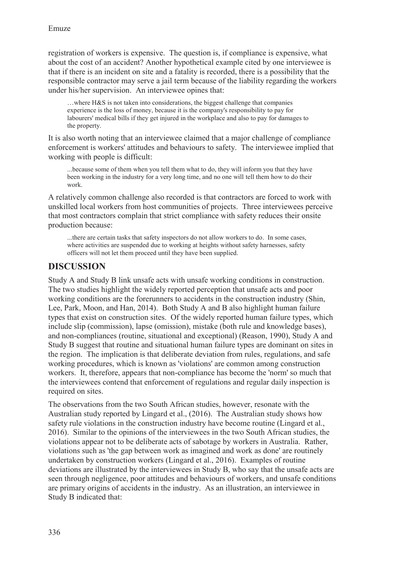registration of workers is expensive. The question is, if compliance is expensive, what about the cost of an accident? Another hypothetical example cited by one interviewee is that if there is an incident on site and a fatality is recorded, there is a possibility that the responsible contractor may serve a jail term because of the liability regarding the workers under his/her supervision. An interviewee opines that:

…where H&S is not taken into considerations, the biggest challenge that companies experience is the loss of money, because it is the company's responsibility to pay for labourers' medical bills if they get injured in the workplace and also to pay for damages to the property.

It is also worth noting that an interviewee claimed that a major challenge of compliance enforcement is workers' attitudes and behaviours to safety. The interviewee implied that working with people is difficult:

...because some of them when you tell them what to do, they will inform you that they have been working in the industry for a very long time, and no one will tell them how to do their work.

A relatively common challenge also recorded is that contractors are forced to work with unskilled local workers from host communities of projects. Three interviewees perceive that most contractors complain that strict compliance with safety reduces their onsite production because:

...there are certain tasks that safety inspectors do not allow workers to do. In some cases, where activities are suspended due to working at heights without safety harnesses, safety officers will not let them proceed until they have been supplied.

### **DISCUSSION**

Study A and Study B link unsafe acts with unsafe working conditions in construction. The two studies highlight the widely reported perception that unsafe acts and poor working conditions are the forerunners to accidents in the construction industry (Shin, Lee, Park, Moon, and Han, 2014). Both Study A and B also highlight human failure types that exist on construction sites. Of the widely reported human failure types, which include slip (commission), lapse (omission), mistake (both rule and knowledge bases), and non-compliances (routine, situational and exceptional) (Reason, 1990), Study A and Study B suggest that routine and situational human failure types are dominant on sites in the region. The implication is that deliberate deviation from rules, regulations, and safe working procedures, which is known as 'violations' are common among construction workers. It, therefore, appears that non-compliance has become the 'norm' so much that the interviewees contend that enforcement of regulations and regular daily inspection is required on sites.

The observations from the two South African studies, however, resonate with the Australian study reported by Lingard et al., (2016). The Australian study shows how safety rule violations in the construction industry have become routine (Lingard et al., 2016). Similar to the opinions of the interviewees in the two South African studies, the violations appear not to be deliberate acts of sabotage by workers in Australia. Rather, violations such as 'the gap between work as imagined and work as done' are routinely undertaken by construction workers (Lingard et al., 2016). Examples of routine deviations are illustrated by the interviewees in Study B, who say that the unsafe acts are seen through negligence, poor attitudes and behaviours of workers, and unsafe conditions are primary origins of accidents in the industry. As an illustration, an interviewee in Study B indicated that: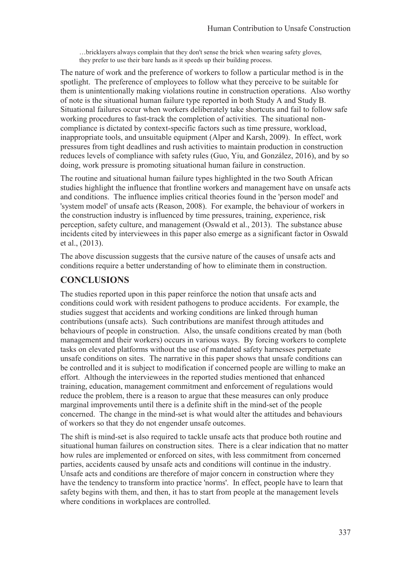…bricklayers always complain that they don't sense the brick when wearing safety gloves, they prefer to use their bare hands as it speeds up their building process.

The nature of work and the preference of workers to follow a particular method is in the spotlight. The preference of employees to follow what they perceive to be suitable for them is unintentionally making violations routine in construction operations. Also worthy of note is the situational human failure type reported in both Study A and Study B. Situational failures occur when workers deliberately take shortcuts and fail to follow safe working procedures to fast-track the completion of activities. The situational noncompliance is dictated by context-specific factors such as time pressure, workload, inappropriate tools, and unsuitable equipment (Alper and Karsh, 2009). In effect, work pressures from tight deadlines and rush activities to maintain production in construction reduces levels of compliance with safety rules (Guo, Yiu, and González, 2016), and by so doing, work pressure is promoting situational human failure in construction.

The routine and situational human failure types highlighted in the two South African studies highlight the influence that frontline workers and management have on unsafe acts and conditions. The influence implies critical theories found in the 'person model' and 'system model' of unsafe acts (Reason, 2008). For example, the behaviour of workers in the construction industry is influenced by time pressures, training, experience, risk perception, safety culture, and management (Oswald et al., 2013). The substance abuse incidents cited by interviewees in this paper also emerge as a significant factor in Oswald et al., (2013).

The above discussion suggests that the cursive nature of the causes of unsafe acts and conditions require a better understanding of how to eliminate them in construction.

## **CONCLUSIONS**

The studies reported upon in this paper reinforce the notion that unsafe acts and conditions could work with resident pathogens to produce accidents. For example, the studies suggest that accidents and working conditions are linked through human contributions (unsafe acts). Such contributions are manifest through attitudes and behaviours of people in construction. Also, the unsafe conditions created by man (both management and their workers) occurs in various ways. By forcing workers to complete tasks on elevated platforms without the use of mandated safety harnesses perpetuate unsafe conditions on sites. The narrative in this paper shows that unsafe conditions can be controlled and it is subject to modification if concerned people are willing to make an effort. Although the interviewees in the reported studies mentioned that enhanced training, education, management commitment and enforcement of regulations would reduce the problem, there is a reason to argue that these measures can only produce marginal improvements until there is a definite shift in the mind-set of the people concerned. The change in the mind-set is what would alter the attitudes and behaviours of workers so that they do not engender unsafe outcomes.

The shift is mind-set is also required to tackle unsafe acts that produce both routine and situational human failures on construction sites. There is a clear indication that no matter how rules are implemented or enforced on sites, with less commitment from concerned parties, accidents caused by unsafe acts and conditions will continue in the industry. Unsafe acts and conditions are therefore of major concern in construction where they have the tendency to transform into practice 'norms'. In effect, people have to learn that safety begins with them, and then, it has to start from people at the management levels where conditions in workplaces are controlled.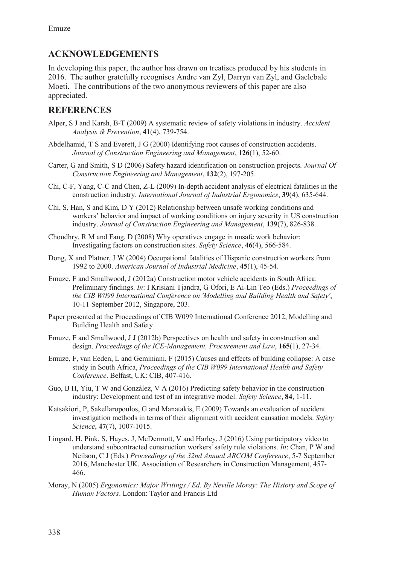## **ACKNOWLEDGEMENTS**

In developing this paper, the author has drawn on treatises produced by his students in 2016. The author gratefully recognises Andre van Zyl, Darryn van Zyl, and Gaelebale Moeti. The contributions of the two anonymous reviewers of this paper are also appreciated.

## **REFERENCES**

- Alper, S J and Karsh, B-T (2009) A systematic review of safety violations in industry. *Accident Analysis & Prevention*, **41**(4), 739-754.
- Abdelhamid, T S and Everett, J G (2000) Identifying root causes of construction accidents. *Journal of Construction Engineering and Management*, **126**(1), 52-60.
- Carter, G and Smith, S D (2006) Safety hazard identification on construction projects. *Journal Of Construction Engineering and Management*, **132**(2), 197-205.
- Chi, C-F, Yang, C-C and Chen, Z-L (2009) In-depth accident analysis of electrical fatalities in the construction industry. *International Journal of Industrial Ergonomics*, **39**(4), 635-644.
- Chi, S, Han, S and Kim, D Y (2012) Relationship between unsafe working conditions and workers' behavior and impact of working conditions on injury severity in US construction industry. *Journal of Construction Engineering and Management*, **139**(7), 826-838.
- Choudhry, R M and Fang, D (2008) Why operatives engage in unsafe work behavior: Investigating factors on construction sites. *Safety Science*, **46**(4), 566-584.
- Dong, X and Platner, J W (2004) Occupational fatalities of Hispanic construction workers from 1992 to 2000. *American Journal of Industrial Medicine*, **45**(1), 45-54.
- Emuze, F and Smallwood, J (2012a) Construction motor vehicle accidents in South Africa: Preliminary findings. *In*: I Krisiani Tjandra, G Ofori, E Ai-Lin Teo (Eds.) *Proceedings of the CIB W099 International Conference on 'Modelling and Building Health and Safety'*, 10-11 September 2012, Singapore, 203.
- Paper presented at the Proceedings of CIB W099 International Conference 2012, Modelling and Building Health and Safety
- Emuze, F and Smallwood, J J (2012b) Perspectives on health and safety in construction and design. *Proceedings of the ICE-Management, Procurement and Law*, **165**(1), 27-34.
- Emuze, F, van Eeden, L and Geminiani, F (2015) Causes and effects of building collapse: A case study in South Africa, *Proceedings of the CIB W099 International Health and Safety Conference*. Belfast, UK: CIB, 407-416.
- Guo, B H, Yiu, T W and González, V A (2016) Predicting safety behavior in the construction industry: Development and test of an integrative model. *Safety Science*, **84**, 1-11.
- Katsakiori, P, Sakellaropoulos, G and Manatakis, E (2009) Towards an evaluation of accident investigation methods in terms of their alignment with accident causation models. *Safety Science*, **47**(7), 1007-1015.
- Lingard, H, Pink, S, Hayes, J, McDermott, V and Harley, J (2016) Using participatory video to understand subcontracted construction workers' safety rule violations. *In*: Chan, P W and Neilson, C J (Eds.) *Proceedings of the 32nd Annual ARCOM Conference*, 5-7 September 2016, Manchester UK. Association of Researchers in Construction Management, 457- 466.
- Moray, N (2005) *Ergonomics: Major Writings / Ed. By Neville Moray: The History and Scope of Human Factors*. London: Taylor and Francis Ltd